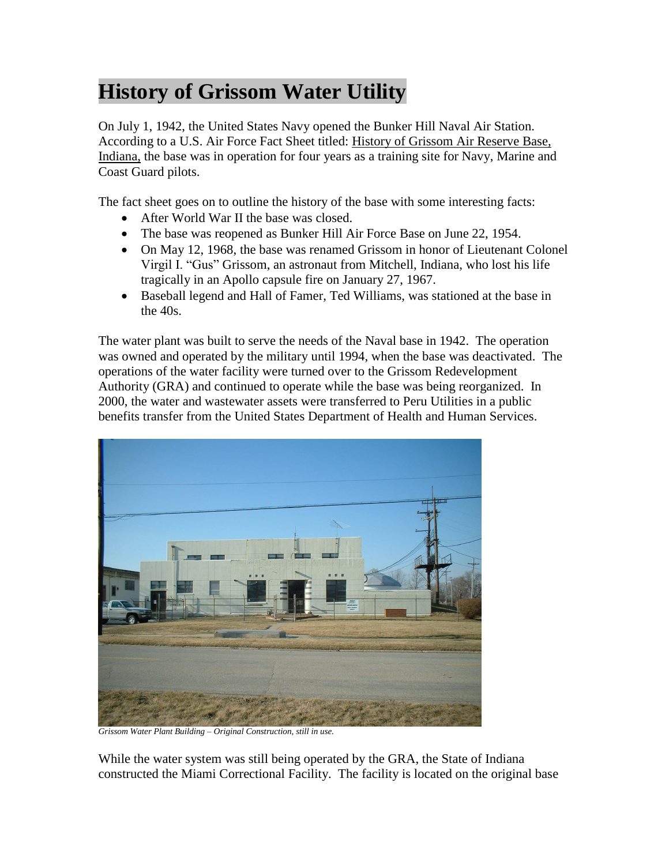## **History of Grissom Water Utility**

On July 1, 1942, the United States Navy opened the Bunker Hill Naval Air Station. According to a U.S. Air Force Fact Sheet titled: History of Grissom Air Reserve Base, Indiana, the base was in operation for four years as a training site for Navy, Marine and Coast Guard pilots.

The fact sheet goes on to outline the history of the base with some interesting facts:

- After World War II the base was closed.
- The base was reopened as Bunker Hill Air Force Base on June 22, 1954.
- On May 12, 1968, the base was renamed Grissom in honor of Lieutenant Colonel Virgil I. "Gus" Grissom, an astronaut from Mitchell, Indiana, who lost his life tragically in an Apollo capsule fire on January 27, 1967.
- Baseball legend and Hall of Famer, Ted Williams, was stationed at the base in the 40s.

The water plant was built to serve the needs of the Naval base in 1942. The operation was owned and operated by the military until 1994, when the base was deactivated. The operations of the water facility were turned over to the Grissom Redevelopment Authority (GRA) and continued to operate while the base was being reorganized. In 2000, the water and wastewater assets were transferred to Peru Utilities in a public benefits transfer from the United States Department of Health and Human Services.



*Grissom Water Plant Building – Original Construction, still in use.*

While the water system was still being operated by the GRA, the State of Indiana constructed the Miami Correctional Facility. The facility is located on the original base